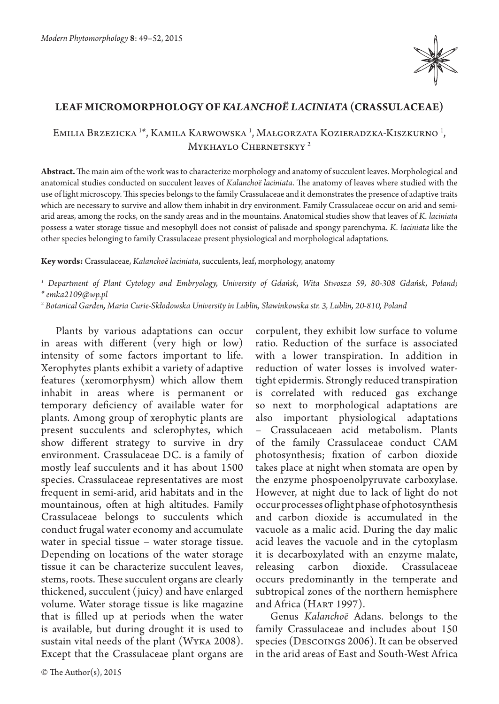

## **Leaf micromorphology of** *Kalanchoë laciniata* **(Crassulaceae)**

## Emilia Brzezicka <sup>1\*</sup>, Kamila Karwowska <sup>1</sup>, Małgorzata Kozieradzka-Kiszkurno <sup>1</sup>, MYKHAYLO CHERNETSKYY<sup>2</sup>

**Abstract.** The main aim of the work was to characterize morphology and anatomy of succulent leaves. Morphological and anatomical studies conducted on succulent leaves of *Kalanchoë laciniata*. The anatomy of leaves where studied with the use of light microscopy. This species belongs to the family Crassulaceae and it demonstrates the presence of adaptive traits which are necessary to survive and allow them inhabit in dry environment. Family Crassulaceae occur on arid and semiarid areas, among the rocks, on the sandy areas and in the mountains. Anatomical studies show that leaves of *K. laciniata*  possess a water storage tissue and mesophyll does not consist of palisade and spongy parenchyma. *K. laciniata* like the other species belonging to family Crassulaceae present physiological and morphological adaptations.

**Key words:** Crassulaceae, *Kalanchoë laciniata*, succulents, leaf, morphology, anatomy

*1 Department of Plant Cytology and Embryology, University of Gdańsk, Wita Stwosza 59, 80-308 Gdańsk, Poland;* 

*\* emka2109@wp.pl* 

*2 Botanical Garden, Maria Curie-Skłodowska University in Lublin, Sławinkowska str. 3, Lublin, 20-810, Poland*

Plants by various adaptations can occur in areas with different (very high or low) intensity of some factors important to life. Xerophytes plants exhibit a variety of adaptive features (xeromorphysm) which allow them inhabit in areas where is permanent or temporary deficiency of available water for plants. Among group of xerophytic plants are present succulents and sclerophytes, which show different strategy to survive in dry environment. Crassulaceae DC. is a family of mostly leaf succulents and it has about 1500 species. Crassulaceae representatives are most frequent in semi-arid, arid habitats and in the mountainous, often at high altitudes. Family Crassulaceae belongs to succulents which conduct frugal water economy and accumulate water in special tissue – water storage tissue. Depending on locations of the water storage tissue it can be characterize succulent leaves, stems, roots. These succulent organs are clearly thickened, succulent (juicy) and have enlarged volume. Water storage tissue is like magazine that is filled up at periods when the water is available, but during drought it is used to sustain vital needs of the plant (Wyka 2008). Except that the Crassulaceae plant organs are

corpulent, they exhibit low surface to volume ratio. Reduction of the surface is associated with a lower transpiration. In addition in reduction of water losses is involved watertight epidermis. Strongly reduced transpiration is correlated with reduced gas exchange so next to morphological adaptations are also important physiological adaptations – Crassulaceaen acid metabolism. Plants of the family Crassulaceae conduct CAM photosynthesis; fixation of carbon dioxide takes place at night when stomata are open by the enzyme phospoenolpyruvate carboxylase. However, at night due to lack of light do not occur processes of light phase of photosynthesis and carbon dioxide is accumulated in the vacuole as a malic acid. During the day malic acid leaves the vacuole and in the cytoplasm it is decarboxylated with an enzyme malate, releasing carbon dioxide. Crassulaceae occurs predominantly in the temperate and subtropical zones of the northern hemisphere and Africa (HART 1997).

Genus *Kalanchoë* Adans. belongs to the family Crassulaceae and includes about 150 species (Descoings 2006). It can be observed in the arid areas of East and South-West Africa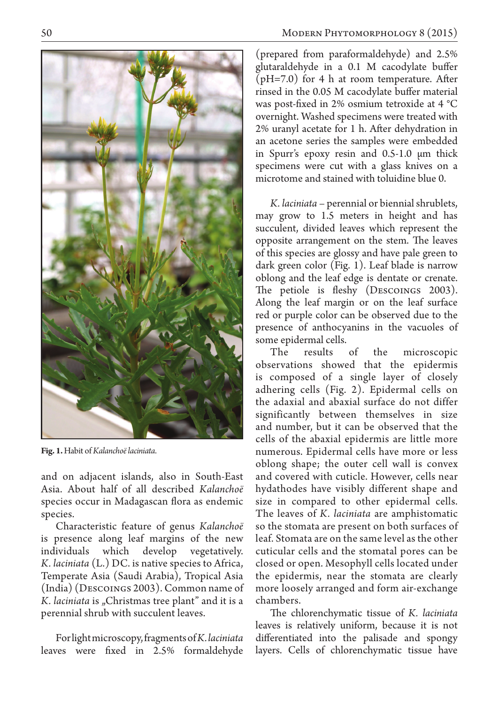

**Fig. 1.** Habit of *Kalanchoë laciniata*.

and on adjacent islands, also in South-East Asia. About half of all described *Kalanchoë* species occur in Madagascan flora as endemic species.

Characteristic feature of genus *Kalanchoë* is presence along leaf margins of the new individuals which develop vegetatively. *K. laciniata* (L.) DC. is native species to Africa, Temperate Asia (Saudi Arabia), Tropical Asia (India) (Descoings 2003). Common name of *K. laciniata* is "Christmas tree plant" and it is a perennial shrub with succulent leaves.

For light microscopy, fragments of *K. laciniata*  leaves were fixed in 2.5% formaldehyde

(prepared from paraformaldehyde) and 2.5% glutaraldehyde in a 0.1 M cacodylate buffer (pH=7.0) for 4 h at room temperature. After rinsed in the 0.05 M cacodylate buffer material was post-fixed in 2% osmium tetroxide at 4 °C overnight. Washed specimens were treated with 2% uranyl acetate for 1 h. After dehydration in an acetone series the samples were embedded in Spurr's epoxy resin and 0.5-1.0 μm thick specimens were cut with a glass knives on a microtome and stained with toluidine blue 0.

*K. laciniata* – perennial or biennial shrublets, may grow to 1.5 meters in height and has succulent, divided leaves which represent the opposite arrangement on the stem. The leaves of this species are glossy and have pale green to dark green color (Fig. 1). Leaf blade is narrow oblong and the leaf edge is dentate or crenate. The petiole is fleshy (DESCOINGS 2003). Along the leaf margin or on the leaf surface red or purple color can be observed due to the presence of anthocyanins in the vacuoles of some epidermal cells.

The results of the microscopic observations showed that the epidermis is composed of a single layer of closely adhering cells (Fig. 2). Epidermal cells on the adaxial and abaxial surface do not differ significantly between themselves in size and number, but it can be observed that the cells of the abaxial epidermis are little more numerous. Epidermal cells have more or less oblong shape; the outer cell wall is convex and covered with cuticle. However, cells near hydathodes have visibly different shape and size in compared to other epidermal cells. The leaves of *K. laciniata* are amphistomatic so the stomata are present on both surfaces of leaf. Stomata are on the same level as the other cuticular cells and the stomatal pores can be closed or open. Mesophyll cells located under the epidermis, near the stomata are clearly more loosely arranged and form air-exchange chambers.

The chlorenchymatic tissue of *K. laciniata*  leaves is relatively uniform, because it is not differentiated into the palisade and spongy layers. Cells of chlorenchymatic tissue have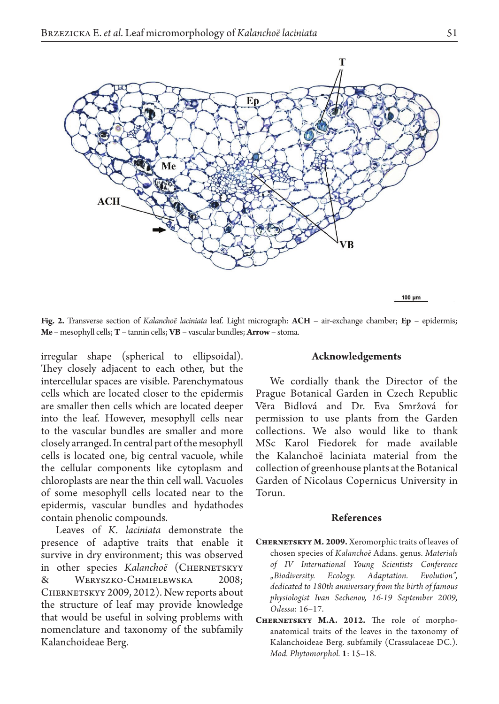

**Fig. 2.** Transverse section of *Kalanchoë laciniata* leaf. Light micrograph: **ACH** – air-exchange chamber; **Ep** – epidermis; **Me** – mesophyll cells; **T** – tannin cells; **VB** – vascular bundles; **Arrow** – stoma.

irregular shape (spherical to ellipsoidal). They closely adjacent to each other, but the intercellular spaces are visible. Parenchymatous cells which are located closer to the epidermis are smaller then cells which are located deeper into the leaf. However, mesophyll cells near to the vascular bundles are smaller and more closely arranged. In central part of the mesophyll cells is located one, big central vacuole, while the cellular components like cytoplasm and chloroplasts are near the thin cell wall. Vacuoles of some mesophyll cells located near to the epidermis, vascular bundles and hydathodes contain phenolic compounds.

Leaves of *K. laciniata* demonstrate the presence of adaptive traits that enable it survive in dry environment; this was observed in other species *Kalanchoë* (CHERNETSKYY & Weryszko-Chmielewska 2008; CHERNETSKYY 2009, 2012). New reports about the structure of leaf may provide knowledge that would be useful in solving problems with nomenclature and taxonomy of the subfamily Kalanchoideae Berg.

## **Acknowledgements**

We cordially thank the Director of the Prague Botanical Garden in Czech Republic Vĕra Bidlová and Dr. Eva Smržová for permission to use plants from the Garden collections. We also would like to thank MSc Karol Fiedorek for made available the Kalanchoë laciniata material from the collection of greenhouse plants at the Botanical Garden of Nicolaus Copernicus University in Torun.

## **References**

- **Chernetskyy M. 2009.** Xeromorphic traits of leaves of chosen species of *Kalanchoё* Adans. genus. *Materials of IV International Young Scientists Conference "Biodiversity. Ecology. Adaptation. Evolution", dedicated to 180th anniversary from the birth of famous physiologist Ivan Sechenov, 16-19 September 2009, Odessa*: 16–17.
- **Chernetskyy M.A. 2012.** The role of morphoanatomical traits of the leaves in the taxonomy of Kalanchoideae Berg. subfamily (Crassulaceae DC.). *Mod. Phytomorphol.* **1**: 15–18.